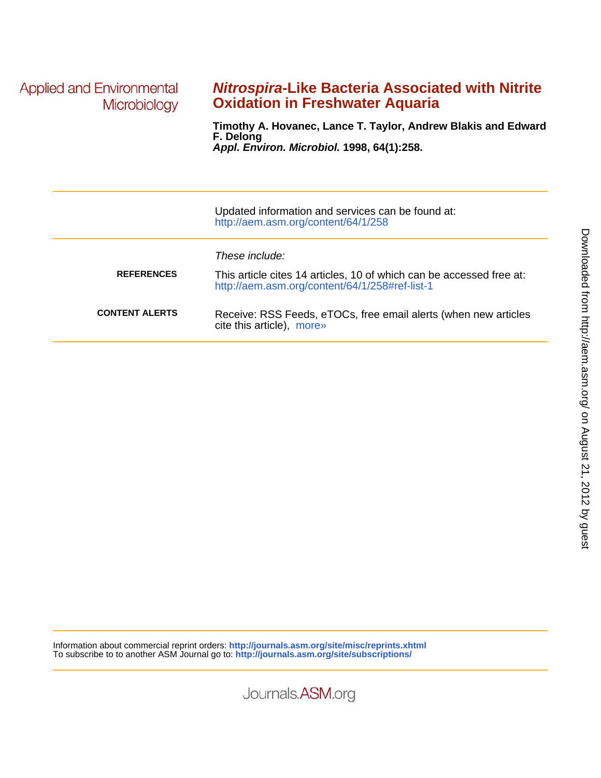**Applied and Environmental** Microbiology

# **Oxidation in Freshwater Aquaria Nitrospira-Like Bacteria Associated with Nitrite**

**Appl. Environ. Microbiol. 1998, 64(1):258. F. Delong Timothy A. Hovanec, Lance T. Taylor, Andrew Blakis and Edward**

|                       | Updated information and services can be found at:<br>http://aem.asm.org/content/64/1/258                                                 |
|-----------------------|------------------------------------------------------------------------------------------------------------------------------------------|
| <b>REFERENCES</b>     | These include:<br>This article cites 14 articles, 10 of which can be accessed free at:<br>http://aem.asm.org/content/64/1/258#ref-list-1 |
| <b>CONTENT ALERTS</b> | Receive: RSS Feeds, eTOCs, free email alerts (when new articles<br>cite this article), more»                                             |

Information about commercial reprint orders: **http://journals.asm.org/site/misc/reprints.xhtml** To subscribe to to another ASM Journal go to: **http://journals.asm.org/site/subscriptions/**

Journals.ASM.org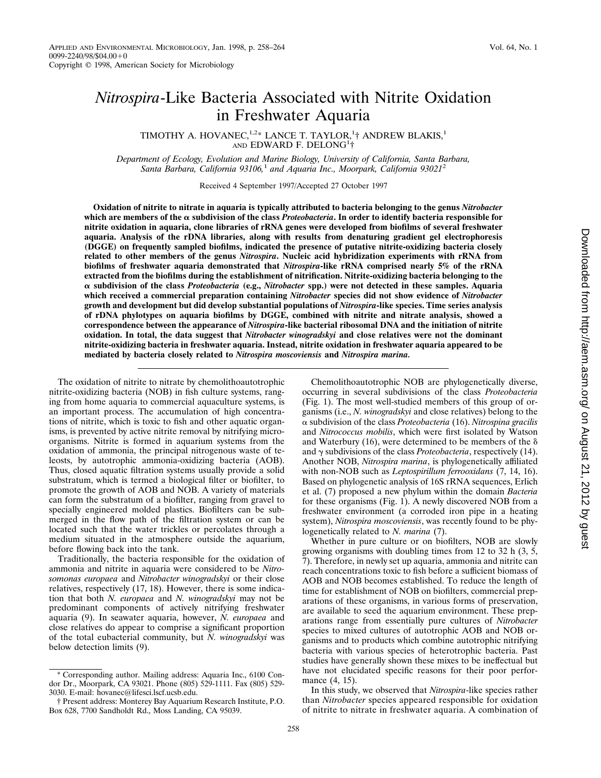# *Nitrospira*-Like Bacteria Associated with Nitrite Oxidation in Freshwater Aquaria

TIMOTHY A. HOVANEC,<sup>1,2\*</sup> LANCE T. TAYLOR,<sup>1</sup>† ANDREW BLAKIS,<sup>1</sup> AND EDWARD F. DELONG<sup>1</sup>†

*Department of Ecology, Evolution and Marine Biology, University of California, Santa Barbara, Santa Barbara, California 93106,*<sup>1</sup> *and Aquaria Inc., Moorpark, California 93021*<sup>2</sup>

Received 4 September 1997/Accepted 27 October 1997

**Oxidation of nitrite to nitrate in aquaria is typically attributed to bacteria belonging to the genus** *Nitrobacter* which are members of the  $\alpha$  subdivision of the class *Proteobacteria***.** In order to identify bacteria responsible for **nitrite oxidation in aquaria, clone libraries of rRNA genes were developed from biofilms of several freshwater aquaria. Analysis of the rDNA libraries, along with results from denaturing gradient gel electrophoresis (DGGE) on frequently sampled biofilms, indicated the presence of putative nitrite-oxidizing bacteria closely related to other members of the genus** *Nitrospira***. Nucleic acid hybridization experiments with rRNA from biofilms of freshwater aquaria demonstrated that** *Nitrospira***-like rRNA comprised nearly 5% of the rRNA extracted from the biofilms during the establishment of nitrification. Nitrite-oxidizing bacteria belonging to the** a **subdivision of the class** *Proteobacteria* **(e.g.,** *Nitrobacter* **spp.) were not detected in these samples. Aquaria which received a commercial preparation containing** *Nitrobacter* **species did not show evidence of** *Nitrobacter* **growth and development but did develop substantial populations of** *Nitrospira***-like species. Time series analysis of rDNA phylotypes on aquaria biofilms by DGGE, combined with nitrite and nitrate analysis, showed a correspondence between the appearance of** *Nitrospira***-like bacterial ribosomal DNA and the initiation of nitrite oxidation. In total, the data suggest that** *Nitrobacter winogradskyi* **and close relatives were not the dominant nitrite-oxidizing bacteria in freshwater aquaria. Instead, nitrite oxidation in freshwater aquaria appeared to be mediated by bacteria closely related to** *Nitrospira moscoviensis* **and** *Nitrospira marina.*

The oxidation of nitrite to nitrate by chemolithoautotrophic nitrite-oxidizing bacteria (NOB) in fish culture systems, ranging from home aquaria to commercial aquaculture systems, is an important process. The accumulation of high concentrations of nitrite, which is toxic to fish and other aquatic organisms, is prevented by active nitrite removal by nitrifying microorganisms. Nitrite is formed in aquarium systems from the oxidation of ammonia, the principal nitrogenous waste of teleosts, by autotrophic ammonia-oxidizing bacteria (AOB). Thus, closed aquatic filtration systems usually provide a solid substratum, which is termed a biological filter or biofilter, to promote the growth of AOB and NOB. A variety of materials can form the substratum of a biofilter, ranging from gravel to specially engineered molded plastics. Biofilters can be submerged in the flow path of the filtration system or can be located such that the water trickles or percolates through a medium situated in the atmosphere outside the aquarium, before flowing back into the tank.

Traditionally, the bacteria responsible for the oxidation of ammonia and nitrite in aquaria were considered to be *Nitrosomonas europaea* and *Nitrobacter winogradskyi* or their close relatives, respectively (17, 18). However, there is some indication that both *N. europaea* and *N. winogradskyi* may not be predominant components of actively nitrifying freshwater aquaria (9). In seawater aquaria, however, *N. europaea* and close relatives do appear to comprise a significant proportion of the total eubacterial community, but *N. winogradskyi* was below detection limits (9).

Chemolithoautotrophic NOB are phylogenetically diverse, occurring in several subdivisions of the class *Proteobacteria* (Fig. 1). The most well-studied members of this group of organisms (i.e., *N. winogradskyi* and close relatives) belong to the a subdivision of the class *Proteobacteria* (16). *Nitrospina gracilis* and *Nitrococcus mobilis*, which were first isolated by Watson and Waterbury (16), were determined to be members of the  $\delta$ and  $\gamma$  subdivisions of the class *Proteobacteria*, respectively (14). Another NOB, *Nitrospira marina*, is phylogenetically affiliated with non-NOB such as *Leptospirillum ferrooxidans* (7, 14, 16). Based on phylogenetic analysis of 16S rRNA sequences, Erlich et al. (7) proposed a new phylum within the domain *Bacteria* for these organisms (Fig. 1). A newly discovered NOB from a freshwater environment (a corroded iron pipe in a heating system), *Nitrospira moscoviensis*, was recently found to be phylogenetically related to *N. marina* (7).

Whether in pure culture or on biofilters, NOB are slowly growing organisms with doubling times from 12 to 32 h (3, 5, 7). Therefore, in newly set up aquaria, ammonia and nitrite can reach concentrations toxic to fish before a sufficient biomass of AOB and NOB becomes established. To reduce the length of time for establishment of NOB on biofilters, commercial preparations of these organisms, in various forms of preservation, are available to seed the aquarium environment. These preparations range from essentially pure cultures of *Nitrobacter* species to mixed cultures of autotrophic AOB and NOB organisms and to products which combine autotrophic nitrifying bacteria with various species of heterotrophic bacteria. Past studies have generally shown these mixes to be ineffectual but have not elucidated specific reasons for their poor performance (4, 15).

In this study, we observed that *Nitrospira*-like species rather than *Nitrobacter* species appeared responsible for oxidation of nitrite to nitrate in freshwater aquaria. A combination of

<sup>\*</sup> Corresponding author. Mailing address: Aquaria Inc., 6100 Condor Dr., Moorpark, CA 93021. Phone (805) 529-1111. Fax (805) 529- 3030. E-mail: hovanec@lifesci.lscf.ucsb.edu.

<sup>†</sup> Present address: Monterey Bay Aquarium Research Institute, P.O. Box 628, 7700 Sandholdt Rd., Moss Landing, CA 95039.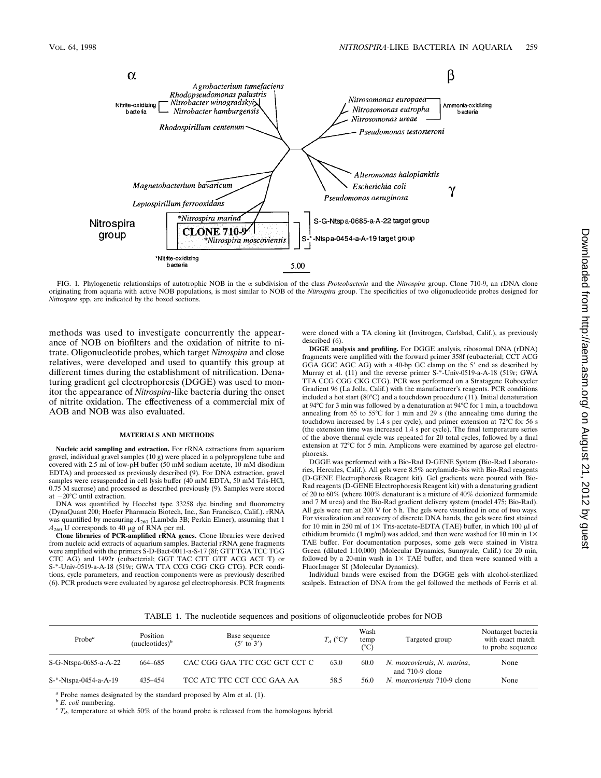

FIG. 1. Phylogenetic relationships of autotrophic NOB in the a subdivision of the class *Proteobacteria* and the *Nitrospira* group. Clone 710-9, an rDNA clone originating from aquaria with active NOB populations, is most similar to NOB of the *Nitrospira* group. The specificities of two oligonucleotide probes designed for *Nitrospira* spp. are indicated by the boxed sections.

methods was used to investigate concurrently the appearance of NOB on biofilters and the oxidation of nitrite to nitrate. Oligonucleotide probes, which target *Nitrospira* and close relatives, were developed and used to quantify this group at different times during the establishment of nitrification. Denaturing gradient gel electrophoresis (DGGE) was used to monitor the appearance of *Nitrospira*-like bacteria during the onset of nitrite oxidation. The effectiveness of a commercial mix of AOB and NOB was also evaluated.

#### **MATERIALS AND METHODS**

**Nucleic acid sampling and extraction.** For rRNA extractions from aquarium gravel, individual gravel samples (10 g) were placed in a polypropylene tube and covered with 2.5 ml of low-pH buffer (50 mM sodium acetate, 10 mM disodium EDTA) and processed as previously described (9). For DNA extraction, gravel samples were resuspended in cell lysis buffer (40 mM EDTA, 50 mM Tris-HCl, 0.75 M sucrose) and processed as described previously (9). Samples were stored at  $-20^{\circ}$ C until extraction.

DNA was quantified by Hoechst type 33258 dye binding and fluorometry (DynaQuant 200; Hoefer Pharmacia Biotech, Inc., San Francisco, Calif.). rRNA was quantified by measuring  $A_{260}$  (Lambda 3B; Perkin Elmer), assuming that 1  $A_{260}$  U corresponds to 40  $\mu$ g of RNA per ml.

**Clone libraries of PCR-amplified rRNA genes.** Clone libraries were derived from nucleic acid extracts of aquarium samples. Bacterial rRNA gene fragments were amplified with the primers S-D-Bact-0011-a-S-17 (8f; GTT TGA TCC TGG CTC AG) and 1492r (eubacterial; GGT TAC CTT GTT ACG ACT T) or S-\*-Univ-0519-a-A-18 (519r; GWA TTA CCG CGG CKG CTG). PCR conditions, cycle parameters, and reaction components were as previously described (6). PCR products were evaluated by agarose gel electrophoresis. PCR fragments were cloned with a TA cloning kit (Invitrogen, Carlsbad, Calif.), as previously described (6).

**DGGE analysis and profiling.** For DGGE analysis, ribosomal DNA (rDNA) fragments were amplified with the forward primer 358f (eubacterial; CCT ACG GGA GGC AGC AG) with a 40-bp GC clamp on the 5' end as described by Murray et al. (11) and the reverse primer S-\*-Univ-0519-a-A-18 (519r; GWA TTA CCG CGG CKG CTG). PCR was performed on a Stratagene Robocycler Gradient 96 (La Jolla, Calif.) with the manufacturer's reagents. PCR conditions included a hot start (80°C) and a touchdown procedure (11). Initial denaturation at 94°C for 3 min was followed by a denaturation at 94°C for 1 min, a touchdown annealing from 65 to 55°C for 1 min and 29 s (the annealing time during the touchdown increased by 1.4 s per cycle), and primer extension at 72°C for 56 s (the extension time was increased 1.4 s per cycle). The final temperature series of the above thermal cycle was repeated for 20 total cycles, followed by a final extension at 72°C for 5 min. Amplicons were examined by agarose gel electrophoresis.

DGGE was performed with a Bio-Rad D-GENE System (Bio-Rad Laboratories, Hercules, Calif.). All gels were 8.5% acrylamide–bis with Bio-Rad reagents (D-GENE Electrophoresis Reagent kit). Gel gradients were poured with Bio-Rad reagents (D-GENE Electrophoresis Reagent kit) with a denaturing gradient of 20 to 60% (where 100% denaturant is a mixture of 40% deionized formamide and 7 M urea) and the Bio-Rad gradient delivery system (model 475; Bio-Rad). All gels were run at 200 V for 6 h. The gels were visualized in one of two ways. For visualization and recovery of discrete DNA bands, the gels were first stained for 10 min in 250 ml of  $1\times$  Tris-acetate-EDTA (TAE) buffer, in which 100  $\mu$ l of ethidium bromide (1 mg/ml) was added, and then were washed for 10 min in  $1\times$ TAE buffer. For documentation purposes, some gels were stained in Vistra Green (diluted 1:10,000) (Molecular Dynamics, Sunnyvale, Calif.) for 20 min, followed by a 20-min wash in  $1 \times$  TAE buffer, and then were scanned with a FluorImager SI (Molecular Dynamics).

Individual bands were excised from the DGGE gels with alcohol-sterilized scalpels. Extraction of DNA from the gel followed the methods of Ferris et al.

|  |  |  | TABLE 1. The nucleotide sequences and positions of oligonucleotide probes for NOB |  |  |  |
|--|--|--|-----------------------------------------------------------------------------------|--|--|--|
|  |  |  |                                                                                   |  |  |  |

| Probe <sup>a</sup>    | Position<br>(nucleotides) $\bar{b}$ | Base sequence<br>$(5'$ to $3')$ | $T_d$ (°C) <sup>c</sup> | Wash<br>temp<br>$(^{\circ}C)$ | Targeted group                                          | Nontarget bacteria<br>with exact match<br>to probe sequence |
|-----------------------|-------------------------------------|---------------------------------|-------------------------|-------------------------------|---------------------------------------------------------|-------------------------------------------------------------|
| S-G-Ntspa-0685-a-A-22 | 664-685                             | CAC CGG GAA TTC CGC GCT CCT C   | 63.0                    | 60.0                          | N. moscoviensis, N. marina,                             | None                                                        |
| S-*-Ntspa-0454-a-A-19 | 435-454                             | TCC ATC TTC CCT CCC GAA AA      | 58.5                    | 56.0                          | and $710-9$ clone<br><i>N. moscoviensis</i> 710-9 clone | None                                                        |

*a* Probe names designated by the standard proposed by Alm et al. (1).  ${}^{b}E$  *coli* numbering.

 $\epsilon$   $T_d$ , temperature at which 50% of the bound probe is released from the homologous hybrid.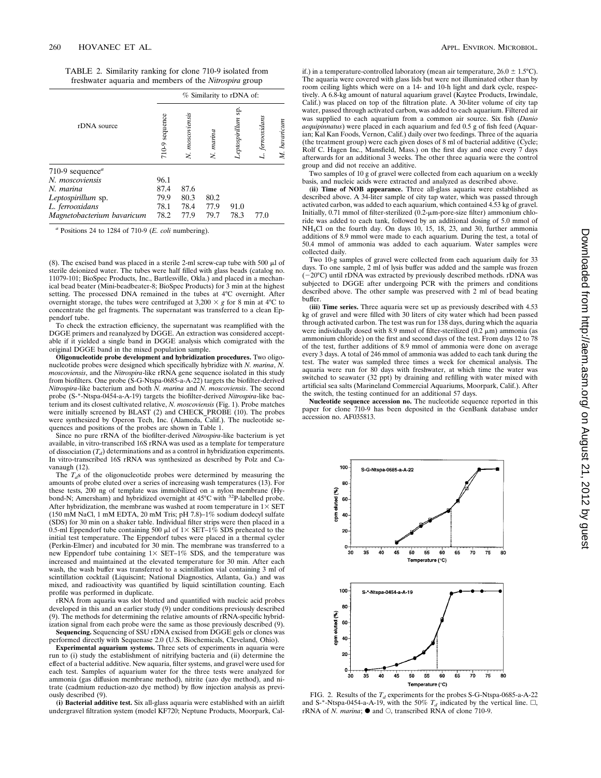| TABLE 2. Similarity ranking for clone 710-9 isolated from     |  |  |
|---------------------------------------------------------------|--|--|
| freshwater aquaria and members of the <i>Nitrospira</i> group |  |  |

|                                          |                | % Similarity to rDNA of: |           |                     |              |              |  |  |  |
|------------------------------------------|----------------|--------------------------|-----------|---------------------|--------------|--------------|--|--|--|
| rDNA source                              | 710-9 sequence | N. moscoviensis          | N. marina | ş.<br>eptospirillum | ferrooxidans | M. bavaricum |  |  |  |
| 710-9 sequence <sup><math>a</math></sup> |                |                          |           |                     |              |              |  |  |  |
| N. moscoviensis                          | 96.1           |                          |           |                     |              |              |  |  |  |
| N. marina                                | 87.4           | 87.6                     |           |                     |              |              |  |  |  |
| Leptospirillum sp.                       | 79.9           | 80.3                     | 80.2      |                     |              |              |  |  |  |
| L. ferrooxidans                          | 78.1           | 78.4                     | 77.9      | 91.0                |              |              |  |  |  |
| Magnetobacterium bavaricum               | 78.2           | 77.9                     | 79.7      | 78.3                | 77.0         |              |  |  |  |

*<sup>a</sup>* Positions 24 to 1284 of 710-9 (*E. coli* numbering).

(8). The excised band was placed in a sterile 2-ml screw-cap tube with 500  $\mu$ l of sterile deionized water. The tubes were half filled with glass beads (catalog no. 11079-101; BioSpec Products, Inc., Bartlesville, Okla.) and placed in a mechanical bead beater (Mini-beadbeater-8; BioSpec Products) for 3 min at the highest setting. The processed DNA remained in the tubes at 4°C overnight. After overnight storage, the tubes were centrifuged at  $3,200 \times g$  for 8 min at 4°C to concentrate the gel fragments. The supernatant was transferred to a clean Eppendorf tube.

To check the extraction efficiency, the supernatant was reamplified with the DGGE primers and reanalyzed by DGGE. An extraction was considered acceptable if it yielded a single band in DGGE analysis which comigrated with the original DGGE band in the mixed population sample.

**Oligonucleotide probe development and hybridization procedures.** Two oligonucleotide probes were designed which specifically hybridize with *N. marina*, *N. moscoviensis*, and the *Nitrospira*-like rRNA gene sequence isolated in this study from biofilters. One probe (S-G-Ntspa-0685-a-A-22) targets the biofilter-derived *Nitrospira*-like bacterium and both *N. marina* and *N. moscoviensis*. The second probe (S-\*-Ntspa-0454-a-A-19) targets the biofilter-derived *Nitrospira*-like bacterium and its closest cultivated relative, *N. moscoviensis* (Fig. 1). Probe matches were initially screened by BLAST (2) and CHECK\_PROBE (10). The probes were synthesized by Operon Tech, Inc. (Alameda, Calif.). The nucleotide sequences and positions of the probes are shown in Table 1.

Since no pure rRNA of the biofilter-derived *Nitrospira*-like bacterium is yet available, in vitro-transcribed 16S rRNA was used as a template for temperature of dissociation  $(T_d)$  determinations and as a control in hybridization experiments. In vitro-transcribed 16S rRNA was synthesized as described by Polz and Cavanaugh (12).

The  $T_d$ s of the oligonucleotide probes were determined by measuring the amounts of probe eluted over a series of increasing wash temperatures (13). For these tests, 200 ng of template was immobilized on a nylon membrane (Hybond-N; Amersham) and hybridized overnight at 45°C with 32P-labelled probe. After hybridization, the membrane was washed at room temperature in  $1\times$  SET (150 mM NaCl, 1 mM EDTA, 20 mM Tris; pH 7.8)–1% sodium dodecyl sulfate (SDS) for 30 min on a shaker table. Individual filter strips were then placed in a 0.5-ml Eppendorf tube containing 500  $\mu$ l of 1× SET–1% SDS preheated to the initial test temperature. The Eppendorf tubes were placed in a thermal cycler (Perkin-Elmer) and incubated for 30 min. The membrane was transferred to a new Eppendorf tube containing  $1 \times$  SET–1% SDS, and the temperature was increased and maintained at the elevated temperature for 30 min. After each wash, the wash buffer was transferred to a scintillation vial containing 3 ml of scintillation cocktail (Liquiscint; National Diagnostics, Atlanta, Ga.) and was mixed, and radioactivity was quantified by liquid scintillation counting. Each profile was performed in duplicate.

rRNA from aquaria was slot blotted and quantified with nucleic acid probes developed in this and an earlier study (9) under conditions previously described (9). The methods for determining the relative amounts of rRNA-specific hybridization signal from each probe were the same as those previously described (9). **Sequencing.** Sequencing of SSU rDNA excised from DGGE gels or clones was

performed directly with Sequenase 2.0 (U.S. Biochemicals, Cleveland, Ohio).

**Experimental aquarium systems.** Three sets of experiments in aquaria were run to (i) study the establishment of nitrifying bacteria and (ii) determine the effect of a bacterial additive. New aquaria, filter systems, and gravel were used for each test. Samples of aquarium water for the three tests were analyzed for ammonia (gas diffusion membrane method), nitrite (azo dye method), and nitrate (cadmium reduction-azo dye method) by flow injection analysis as previously described (9).

**(i) Bacterial additive test.** Six all-glass aquaria were established with an airlift undergravel filtration system (model KF720; Neptune Products, Moorpark, Calif.) in a temperature-controlled laboratory (mean air temperature,  $26.0 \pm 1.5^{\circ}$ C). The aquaria were covered with glass lids but were not illuminated other than by room ceiling lights which were on a 14- and 10-h light and dark cycle, respectively. A 6.8-kg amount of natural aquarium gravel (Kaytee Products, Irwindale, Calif.) was placed on top of the filtration plate. A 30-liter volume of city tap water, passed through activated carbon, was added to each aquarium. Filtered air was supplied to each aquarium from a common air source. Six fish (*Danio aequipinnatus*) were placed in each aquarium and fed 0.5 g of fish feed (Aquarian; Kal Kan Foods, Vernon, Calif.) daily over two feedings. Three of the aquaria (the treatment group) were each given doses of 8 ml of bacterial additive (Cycle; Rolf C. Hagen Inc., Mansfield, Mass.) on the first day and once every 7 days afterwards for an additional 3 weeks. The other three aquaria were the control group and did not receive an additive.

Two samples of 10 g of gravel were collected from each aquarium on a weekly basis, and nucleic acids were extracted and analyzed as described above.

**(ii) Time of NOB appearance.** Three all-glass aquaria were established as described above. A 34-liter sample of city tap water, which was passed through activated carbon, was added to each aquarium, which contained 4.53 kg of gravel. Initially,  $0.71$  mmol of filter-sterilized  $(0.2 - \mu m$ -pore-size filter) ammonium chloride was added to each tank, followed by an additional dosing of 5.0 mmol of NH4Cl on the fourth day. On days 10, 15, 18, 23, and 30, further ammonia additions of 8.9 mmol were made to each aquarium. During the test, a total of 50.4 mmol of ammonia was added to each aquarium. Water samples were collected daily.

Two 10-g samples of gravel were collected from each aquarium daily for 33 days. To one sample, 2 ml of lysis buffer was added and the sample was frozen  $-20^{\circ}$ C) until rDNA was extracted by previously described methods. rDNA was subjected to DGGE after undergoing PCR with the primers and conditions described above. The other sample was preserved with 2 ml of bead beating buffer.

**(iii) Time series.** Three aquaria were set up as previously described with 4.53 kg of gravel and were filled with 30 liters of city water which had been passed through activated carbon. The test was run for 138 days, during which the aquaria were individually dosed with 8.9 mmol of filter-sterilized  $(0.2 \mu m)$  ammonia (as ammonium chloride) on the first and second days of the test. From days 12 to 78 of the test, further additions of 8.9 mmol of ammonia were done on average every 3 days. A total of 246 mmol of ammonia was added to each tank during the test. The water was sampled three times a week for chemical analysis. The aquaria were run for 80 days with freshwater, at which time the water was switched to seawater (32 ppt) by draining and refilling with water mixed with artificial sea salts (Marineland Commercial Aquariums, Moorpark, Calif.). After the switch, the testing continued for an additional 57 days.

**Nucleotide sequence accession no.** The nucleotide sequence reported in this paper for clone 710-9 has been deposited in the GenBank database under accession no. AF035813.



FIG. 2. Results of the  $T_d$  experiments for the probes S-G-Ntspa-0685-a-A-22 and S-\*-Ntspa-0454-a-A-19, with the 50%  $T_d$  indicated by the vertical line.  $\Box$ , rRNA of *N. marina*;  $\bullet$  and  $\circ$ , transcribed RNA of clone 710-9.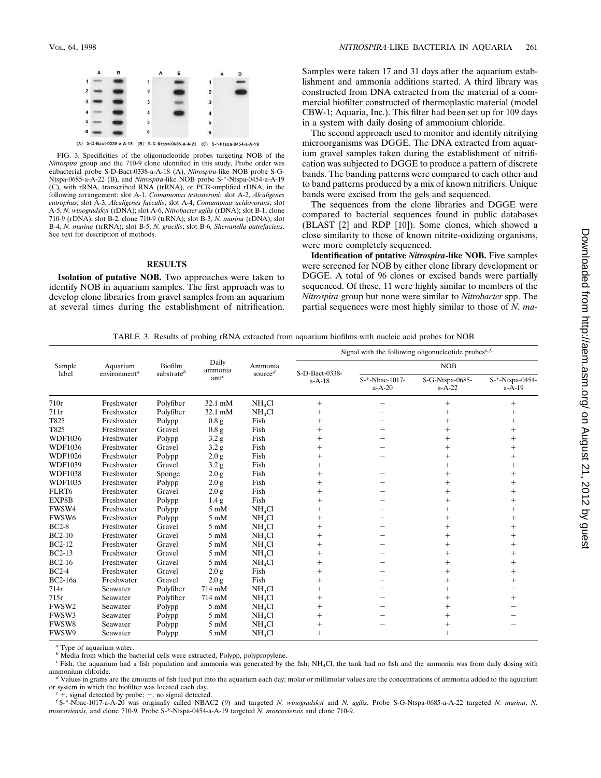

FIG. 3. Specificities of the oligonucleotide probes targeting NOB of the *Nitrospira* group and the 710-9 clone identified in this study. Probe order was eubacterial probe S-D-Bact-0338-a-A-18 (A), *Nitrospira*-like NOB probe S-G-Ntspa-0685-a-A-22 (B), and *Nitrospira*-like NOB probe S-\*-Ntspa-0454-a-A-19 (C), with rRNA, transcribed RNA (trRNA), or PCR-amplified rDNA, in the following arrangement: slot A-1, *Comamonas testosteroni*; slot A-2, *Alcaligenes eutrophus*; slot A-3, *Alcaligenes faecalis*; slot A-4, *Comamonas acidovorans*; slot A-5, *N. winogradskyi* (rDNA); slot A-6, *Nitrobacter agilis* (rDNA); slot B-1, clone 710-9 (rDNA); slot B-2, clone 710-9 (trRNA); slot B-3, *N. marina* (rDNA); slot B-4, *N. marina* (trRNA); slot B-5, *N. gracilis*; slot B-6, *Shewanella putrefaciens*. See text for description of methods.

## **RESULTS**

**Isolation of putative NOB.** Two approaches were taken to identify NOB in aquarium samples. The first approach was to develop clone libraries from gravel samples from an aquarium at several times during the establishment of nitrification. Samples were taken 17 and 31 days after the aquarium establishment and ammonia additions started. A third library was constructed from DNA extracted from the material of a commercial biofilter constructed of thermoplastic material (model CBW-1; Aquaria, Inc.). This filter had been set up for 109 days in a system with daily dosing of ammonium chloride.

The second approach used to monitor and identify nitrifying microorganisms was DGGE. The DNA extracted from aquarium gravel samples taken during the establishment of nitrification was subjected to DGGE to produce a pattern of discrete bands. The banding patterns were compared to each other and to band patterns produced by a mix of known nitrifiers. Unique bands were excised from the gels and sequenced.

The sequences from the clone libraries and DGGE were compared to bacterial sequences found in public databases (BLAST [2] and RDP [10]). Some clones, which showed a close similarity to those of known nitrite-oxidizing organisms, were more completely sequenced.

**Identification of putative** *Nitrospira***-like NOB.** Five samples were screened for NOB by either clone library development or DGGE. A total of 96 clones or excised bands were partially sequenced. Of these, 11 were highly similar to members of the *Nitrospira* group but none were similar to *Nitrobacter* spp. The partial sequences were most highly similar to those of *N. ma-*

TABLE 3. Results of probing rRNA extracted from aquarium biofilms with nucleic acid probes for NOB

|                   |                          | Biofilm<br>substrate <sup>b</sup> | Daily<br>ammonia<br>$amt^c$ | Ammonia<br>source $d$ | Signal with the following oligonucleotide probes <sup>e, <math>f</math></sup> : |                            |                             |                             |  |
|-------------------|--------------------------|-----------------------------------|-----------------------------|-----------------------|---------------------------------------------------------------------------------|----------------------------|-----------------------------|-----------------------------|--|
| Sample<br>label   | Aquarium                 |                                   |                             |                       | S-D-Bact-0338-<br>$a-A-18$                                                      | <b>NOB</b>                 |                             |                             |  |
|                   | environment <sup>a</sup> |                                   |                             |                       |                                                                                 | S-*-Nbac-1017-<br>$a-A-20$ | S-G-Ntspa-0685-<br>$a-A-22$ | S-*-Ntspa-0454-<br>$a-A-19$ |  |
| 710r              | Freshwater               | Polyfiber                         | 32.1 mM                     | NH <sub>4</sub> Cl    | $^{+}$                                                                          |                            | $\ddot{}$                   | $^{+}$                      |  |
| 711r              | Freshwater               | Polyfiber                         | 32.1 mM                     | NH <sub>4</sub> Cl    | $^{+}$                                                                          |                            | $\ddot{}$                   | $^{+}$                      |  |
| T825              | Freshwater               | Polypp                            | 0.8 <sub>g</sub>            | Fish                  | $^{+}$                                                                          |                            | $+$                         | $+$                         |  |
| T825              | Freshwater               | Gravel                            | 0.8 <sub>g</sub>            | Fish                  | $\ddag$                                                                         |                            | $+$                         | $+$                         |  |
| <b>WDF1036</b>    | Freshwater               | Polypp                            | 3.2 <sub>g</sub>            | Fish                  | $\ddag$                                                                         |                            | $\ddot{}$                   | $\ddag$                     |  |
| <b>WDF1036</b>    | Freshwater               | Gravel                            | 3.2 <sub>g</sub>            | Fish                  | $\overline{+}$                                                                  |                            | $^{+}$                      | $^{+}$                      |  |
| <b>WDF1026</b>    | Freshwater               | Polypp                            | 2.0 <sub>g</sub>            | Fish                  | $^{+}$                                                                          |                            | $^{+}$                      | $^{+}$                      |  |
| <b>WDF1039</b>    | Freshwater               | Gravel                            | 3.2 <sub>g</sub>            | Fish                  | $+$                                                                             |                            | $+$                         | $^{+}$                      |  |
| <b>WDF1038</b>    | Freshwater               | Sponge                            | 2.0 g                       | Fish                  | $\ddot{}$                                                                       |                            | $+$                         |                             |  |
| <b>WDF1035</b>    | Freshwater               | Polypp                            | 2.0 <sub>g</sub>            | Fish                  | $\ddag$                                                                         |                            | $\ddot{}$                   | $^{+}$                      |  |
| FLRT <sub>6</sub> | Freshwater               | Gravel                            | $2.0\ \mathrm{g}$           | Fish                  | $^{+}$                                                                          |                            | $+$                         | $^{+}$                      |  |
| EXP8B             | Freshwater               | Polypp                            | 1.4 g                       | Fish                  | $+$                                                                             |                            | $+$                         | $+$                         |  |
| FWSW4             | Freshwater               | Polypp                            | $5 \text{ mM}$              | NH <sub>4</sub> Cl    | $\ddag$                                                                         |                            | $+$                         | $\ddot{}$                   |  |
| FWSW6             | Freshwater               | Polypp                            | $5 \text{ mM}$              | NH <sub>4</sub> Cl    | $^{+}$                                                                          |                            | $+$                         | $\ddot{}$                   |  |
| <b>BC2-8</b>      | Freshwater               | Gravel                            | $5 \text{ mM}$              | NH <sub>4</sub> Cl    | $^{+}$                                                                          |                            | $^{+}$                      | $^{+}$                      |  |
| $BC2-10$          | Freshwater               | Gravel                            | $5 \text{ mM}$              | NH <sub>4</sub> Cl    | $^{+}$                                                                          |                            | $+$                         | $+$                         |  |
| <b>BC2-12</b>     | Freshwater               | Gravel                            | $5 \text{ mM}$              | NH <sub>4</sub> Cl    | $\ddot{}$                                                                       |                            | $+$                         | $+$                         |  |
| <b>BC2-13</b>     | Freshwater               | Gravel                            | $5 \text{ mM}$              | NH <sub>4</sub> Cl    | $\ddot{}$                                                                       |                            | $\ddot{}$                   | $^{+}$                      |  |
| <b>BC2-16</b>     | Freshwater               | Gravel                            | $5 \text{ mM}$              | NH <sub>4</sub> Cl    | $\ddot{}$                                                                       |                            | $\ddot{}$                   | $\ddag$                     |  |
| $BC2-4$           | Freshwater               | Gravel                            | 2.0 g                       | Fish                  | $^{+}$                                                                          |                            | $^{+}$                      | $^{+}$                      |  |
| <b>BC2-16a</b>    | Freshwater               | Gravel                            | 2.0 g                       | Fish                  | $\ddot{}$                                                                       |                            | $+$                         | $^{+}$                      |  |
| 714r              | Seawater                 | Polyfiber                         | 714 mM                      | NH <sub>4</sub> Cl    | $\qquad \qquad +$                                                               |                            | $\ddot{}$                   |                             |  |
| 715r              | Seawater                 | Polyfiber                         | 714 mM                      | NH <sub>4</sub> Cl    | $\ddag$                                                                         |                            | $+$                         | $+$                         |  |
| FWSW2             | Seawater                 | Polypp                            | $5 \text{ mM}$              | NH <sub>4</sub> Cl    | $^{+}$                                                                          |                            | $^{+}$                      |                             |  |
| FWSW3             | Seawater                 | Polypp                            | $5 \text{ mM}$              | NH <sub>4</sub> Cl    | $^{+}$                                                                          |                            | $+$                         |                             |  |
| FWSW8             | Seawater                 | Polypp                            | $5 \text{ mM}$              | NH <sub>4</sub> Cl    | $^{+}$                                                                          |                            | $^{+}$                      |                             |  |
| FWSW9             | Seawater                 | Polypp                            | $5 \text{ mM}$              | NH <sub>4</sub> Cl    | $\ddot{}$                                                                       |                            | $+$                         |                             |  |

*<sup>a</sup>* Type of aquarium water.

*b* Media from which the bacterial cells were extracted, Polypp, polypropylene.

 $c$  Fish, the aquarium had a fish population and ammonia was generated by the fish;  $NH<sub>4</sub>Cl$ , the tank had no fish and the ammonia was from daily dosing with ammonium chloride.

<sup>d</sup> Values in grams are the amounts of fish feed put into the aquarium each day; molar or millimolar values are the concentrations of ammonia added to the aquarium or system in which the biofilter was located each day.

<sup>e</sup> +, signal detected by probe; -, no signal detected.<br>
f S-\*-Nbac-1017-a-A-20 was originally called NBAC2 (9) and targeted N. winogradskyi and N. agilis. Probe S-G-Ntspa-0685-a-A-22 targeted N. marina, N. *moscoviensis*, and clone 710-9. Probe S-\*-Ntspa-0454-a-A-19 targeted *N. moscoviensis* and clone 710-9.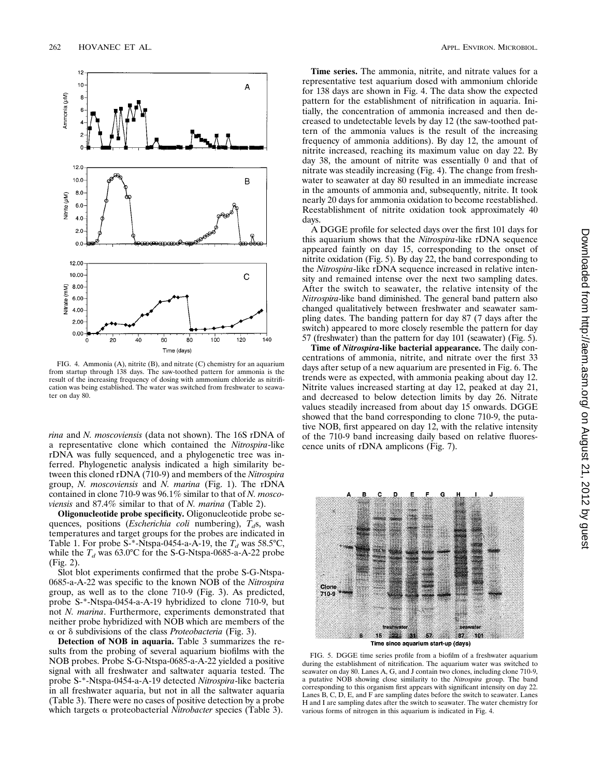

FIG. 4. Ammonia (A), nitrite (B), and nitrate (C) chemistry for an aquarium from startup through 138 days. The saw-toothed pattern for ammonia is the result of the increasing frequency of dosing with ammonium chloride as nitrification was being established. The water was switched from freshwater to seawater on day 80.

*rina* and *N. moscoviensis* (data not shown). The 16S rDNA of a representative clone which contained the *Nitrospira*-like rDNA was fully sequenced, and a phylogenetic tree was inferred. Phylogenetic analysis indicated a high similarity between this cloned rDNA (710-9) and members of the *Nitrospira* group, *N. moscoviensis* and *N. marina* (Fig. 1). The rDNA contained in clone 710-9 was 96.1% similar to that of *N. moscoviensis* and 87.4% similar to that of *N. marina* (Table 2).

**Oligonucleotide probe specificity.** Oligonucleotide probe sequences, positions (*Escherichia coli* numbering),  $\overline{T}_d$ s, wash temperatures and target groups for the probes are indicated in Table 1. For probe  $S^*$ -Ntspa-0454-a-A-19, the  $T_d$  was 58.5°C, while the  $T_d$  was 63.0°C for the S-G-Ntspa-0685-a-A-22 probe (Fig. 2).

Slot blot experiments confirmed that the probe S-G-Ntspa-0685-a-A-22 was specific to the known NOB of the *Nitrospira* group, as well as to the clone 710-9 (Fig. 3). As predicted, probe S-\*-Ntspa-0454-a-A-19 hybridized to clone 710-9, but not *N. marina*. Furthermore, experiments demonstrated that neither probe hybridized with NOB which are members of the  $\alpha$  or  $\delta$  subdivisions of the class *Proteobacteria* (Fig. 3).

**Detection of NOB in aquaria.** Table 3 summarizes the results from the probing of several aquarium biofilms with the NOB probes. Probe S-G-Ntspa-0685-a-A-22 yielded a positive signal with all freshwater and saltwater aquaria tested. The probe S-\*-Ntspa-0454-a-A-19 detected *Nitrospira*-like bacteria in all freshwater aquaria, but not in all the saltwater aquaria (Table 3). There were no cases of positive detection by a probe which targets a proteobacterial *Nitrobacter* species (Table 3).

**Time series.** The ammonia, nitrite, and nitrate values for a representative test aquarium dosed with ammonium chloride for 138 days are shown in Fig. 4. The data show the expected pattern for the establishment of nitrification in aquaria. Initially, the concentration of ammonia increased and then decreased to undetectable levels by day 12 (the saw-toothed pattern of the ammonia values is the result of the increasing frequency of ammonia additions). By day 12, the amount of nitrite increased, reaching its maximum value on day 22. By day 38, the amount of nitrite was essentially 0 and that of nitrate was steadily increasing (Fig. 4). The change from freshwater to seawater at day 80 resulted in an immediate increase in the amounts of ammonia and, subsequently, nitrite. It took nearly 20 days for ammonia oxidation to become reestablished. Reestablishment of nitrite oxidation took approximately 40 days.

A DGGE profile for selected days over the first 101 days for this aquarium shows that the *Nitrospira*-like rDNA sequence appeared faintly on day 15, corresponding to the onset of nitrite oxidation (Fig. 5). By day 22, the band corresponding to the *Nitrospira*-like rDNA sequence increased in relative intensity and remained intense over the next two sampling dates. After the switch to seawater, the relative intensity of the *Nitrospira*-like band diminished. The general band pattern also changed qualitatively between freshwater and seawater sampling dates. The banding pattern for day 87 (7 days after the switch) appeared to more closely resemble the pattern for day 57 (freshwater) than the pattern for day 101 (seawater) (Fig. 5).

**Time of** *Nitrospira***-like bacterial appearance.** The daily concentrations of ammonia, nitrite, and nitrate over the first 33 days after setup of a new aquarium are presented in Fig. 6. The trends were as expected, with ammonia peaking about day 12. Nitrite values increased starting at day 12, peaked at day 21, and decreased to below detection limits by day 26. Nitrate values steadily increased from about day 15 onwards. DGGE showed that the band corresponding to clone 710-9, the putative NOB, first appeared on day 12, with the relative intensity of the 710-9 band increasing daily based on relative fluorescence units of rDNA amplicons (Fig. 7).



Time since aquarium start-up (days)

FIG. 5. DGGE time series profile from a biofilm of a freshwater aquarium during the establishment of nitrification. The aquarium water was switched to seawater on day 80. Lanes A, G, and J contain two clones, including clone 710-9, a putative NOB showing close similarity to the *Nitrospira* group. The band corresponding to this organism first appears with significant intensity on day 22. Lanes  $B, C, D, E$ , and  $F$  are sampling dates before the switch to seawater. Lanes H and I are sampling dates after the switch to seawater. The water chemistry for various forms of nitrogen in this aquarium is indicated in Fig. 4.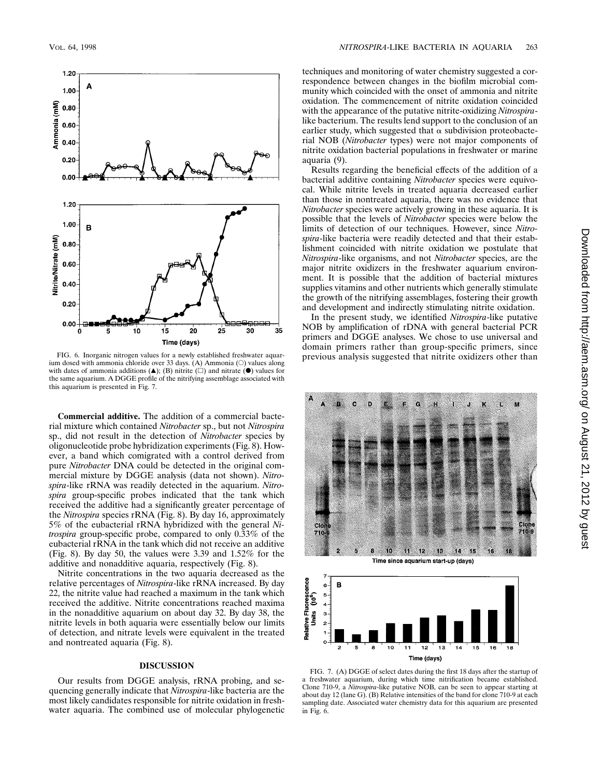

FIG. 6. Inorganic nitrogen values for a newly established freshwater aquar-<br>ium dosed with ammonia chloride over 33 days. (A) Ammonia (O) values along with dates of ammonia additions  $(A)$ ; (B) nitrite  $(\square)$  and nitrate  $(\square)$  values for the same aquarium. A DGGE profile of the nitrifying assemblage associated with this aquarium is presented in Fig. 7.

**Commercial additive.** The addition of a commercial bacterial mixture which contained *Nitrobacter* sp., but not *Nitrospira* sp., did not result in the detection of *Nitrobacter* species by oligonucleotide probe hybridization experiments (Fig. 8). However, a band which comigrated with a control derived from pure *Nitrobacter* DNA could be detected in the original commercial mixture by DGGE analysis (data not shown). *Nitrospira*-like rRNA was readily detected in the aquarium. *Nitrospira* group-specific probes indicated that the tank which received the additive had a significantly greater percentage of the *Nitrospira* species rRNA (Fig. 8). By day 16, approximately 5% of the eubacterial rRNA hybridized with the general *Nitrospira* group-specific probe, compared to only 0.33% of the eubacterial rRNA in the tank which did not receive an additive (Fig. 8). By day 50, the values were 3.39 and 1.52% for the additive and nonadditive aquaria, respectively (Fig. 8).

Nitrite concentrations in the two aquaria decreased as the relative percentages of *Nitrospira*-like rRNA increased. By day 22, the nitrite value had reached a maximum in the tank which received the additive. Nitrite concentrations reached maxima in the nonadditive aquarium on about day 32. By day 38, the nitrite levels in both aquaria were essentially below our limits of detection, and nitrate levels were equivalent in the treated and nontreated aquaria (Fig. 8).

### **DISCUSSION**

Our results from DGGE analysis, rRNA probing, and sequencing generally indicate that *Nitrospira*-like bacteria are the most likely candidates responsible for nitrite oxidation in freshwater aquaria. The combined use of molecular phylogenetic techniques and monitoring of water chemistry suggested a correspondence between changes in the biofilm microbial community which coincided with the onset of ammonia and nitrite oxidation. The commencement of nitrite oxidation coincided with the appearance of the putative nitrite-oxidizing *Nitrospira*like bacterium. The results lend support to the conclusion of an earlier study, which suggested that  $\alpha$  subdivision proteobacterial NOB (*Nitrobacter* types) were not major components of nitrite oxidation bacterial populations in freshwater or marine aquaria (9).

Results regarding the beneficial effects of the addition of a bacterial additive containing *Nitrobacter* species were equivocal. While nitrite levels in treated aquaria decreased earlier than those in nontreated aquaria, there was no evidence that *Nitrobacter* species were actively growing in these aquaria. It is possible that the levels of *Nitrobacter* species were below the limits of detection of our techniques. However, since *Nitrospira*-like bacteria were readily detected and that their establishment coincided with nitrite oxidation we postulate that *Nitrospira*-like organisms, and not *Nitrobacter* species, are the major nitrite oxidizers in the freshwater aquarium environment. It is possible that the addition of bacterial mixtures supplies vitamins and other nutrients which generally stimulate the growth of the nitrifying assemblages, fostering their growth and development and indirectly stimulating nitrite oxidation.

In the present study, we identified *Nitrospira*-like putative NOB by amplification of rDNA with general bacterial PCR primers and DGGE analyses. We chose to use universal and domain primers rather than group-specific primers, since



Time since aquarium start-up (days)



FIG. 7. (A) DGGE of select dates during the first 18 days after the startup of a freshwater aquarium, during which time nitrification became established. Clone 710-9, a *Nitrospira*-like putative NOB, can be seen to appear starting at about day 12 (lane G). (B) Relative intensities of the band for clone 710-9 at each sampling date. Associated water chemistry data for this aquarium are presented in Fig. 6.